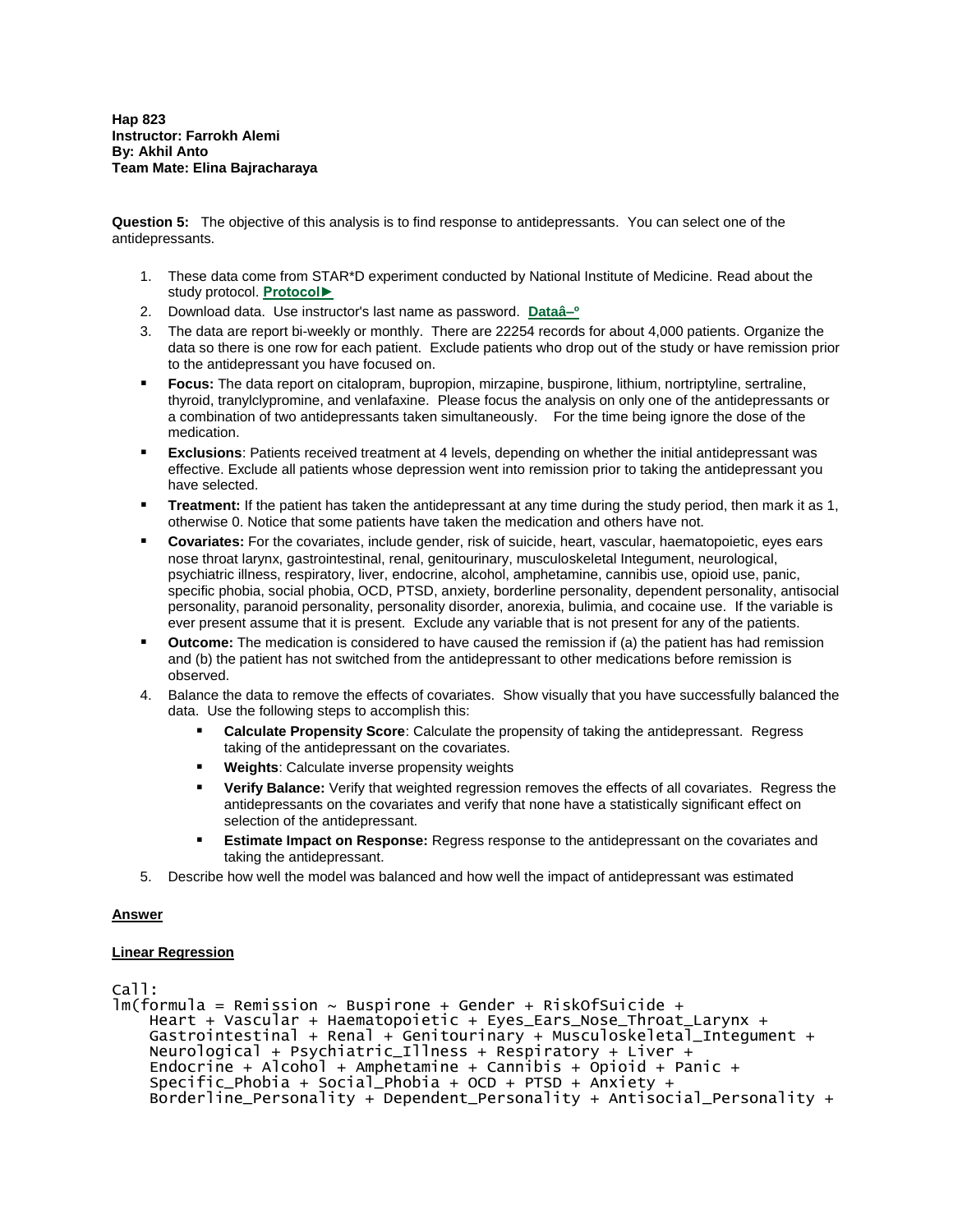**Question 5:** The objective of this analysis is to find response to antidepressants. You can select one of the antidepressants.

- 1. These data come from STAR\*D experiment conducted by National Institute of Medicine. Read about the study protocol. **[Protocol►](http://www.edc.gsph.pitt.edu/stard/public/Protocol/)**
- 2. Download data. Use instructor's last name as password. **[Dataâ–º](http://openonlinecourses.com/causalanalysis/effectiveness%20of%20antidepressants.xlsx)**
- 3. The data are report bi-weekly or monthly. There are 22254 records for about 4,000 patients. Organize the data so there is one row for each patient. Exclude patients who drop out of the study or have remission prior to the antidepressant you have focused on.
- **Focus:** The data report on citalopram, bupropion, mirzapine, buspirone, lithium, nortriptyline, sertraline, thyroid, tranylclypromine, and venlafaxine. Please focus the analysis on only one of the antidepressants or a combination of two antidepressants taken simultaneously. For the time being ignore the dose of the medication.
- **Exclusions**: Patients received treatment at 4 levels, depending on whether the initial antidepressant was effective. Exclude all patients whose depression went into remission prior to taking the antidepressant you have selected.
- **Treatment:** If the patient has taken the antidepressant at any time during the study period, then mark it as 1, otherwise 0. Notice that some patients have taken the medication and others have not.
- **Covariates:** For the covariates, include gender, risk of suicide, heart, vascular, haematopoietic, eyes ears nose throat larynx, gastrointestinal, renal, genitourinary, musculoskeletal Integument, neurological, psychiatric illness, respiratory, liver, endocrine, alcohol, amphetamine, cannibis use, opioid use, panic, specific phobia, social phobia, OCD, PTSD, anxiety, borderline personality, dependent personality, antisocial personality, paranoid personality, personality disorder, anorexia, bulimia, and cocaine use. If the variable is ever present assume that it is present. Exclude any variable that is not present for any of the patients.
- **Outcome:** The medication is considered to have caused the remission if (a) the patient has had remission and (b) the patient has not switched from the antidepressant to other medications before remission is observed.
- 4. Balance the data to remove the effects of covariates. Show visually that you have successfully balanced the data. Use the following steps to accomplish this:
	- **Calculate Propensity Score**: Calculate the propensity of taking the antidepressant. Regress taking of the antidepressant on the covariates.
	- **Weights**: Calculate inverse propensity weights
	- **Verify Balance:** Verify that weighted regression removes the effects of all covariates. Regress the antidepressants on the covariates and verify that none have a statistically significant effect on selection of the antidepressant.
	- **Estimate Impact on Response:** Regress response to the antidepressant on the covariates and taking the antidepressant.
- 5. Describe how well the model was balanced and how well the impact of antidepressant was estimated

# **Answer**

# **Linear Regression**

```
Call:
lm(formula = Remission ~ w Buspi, con + Gender ~ kiskofSuicide + Heart + Vascular + Haematopoietic + Eyes_Ears_Nose_Throat_Larynx +
 Gastrointestinal + Renal + Genitourinary + Musculoskeletal_Integument +
 Neurological + Psychiatric_Illness + Respiratory + Liver +
     Endocrine + Alcohol + Amphetamine + Cannibis + Opioid + Panic +
     Specific_Phobia + Social_Phobia + OCD + PTSD + Anxiety +
     Borderline_Personality + Dependent_Personality + Antisocial_Personality +
```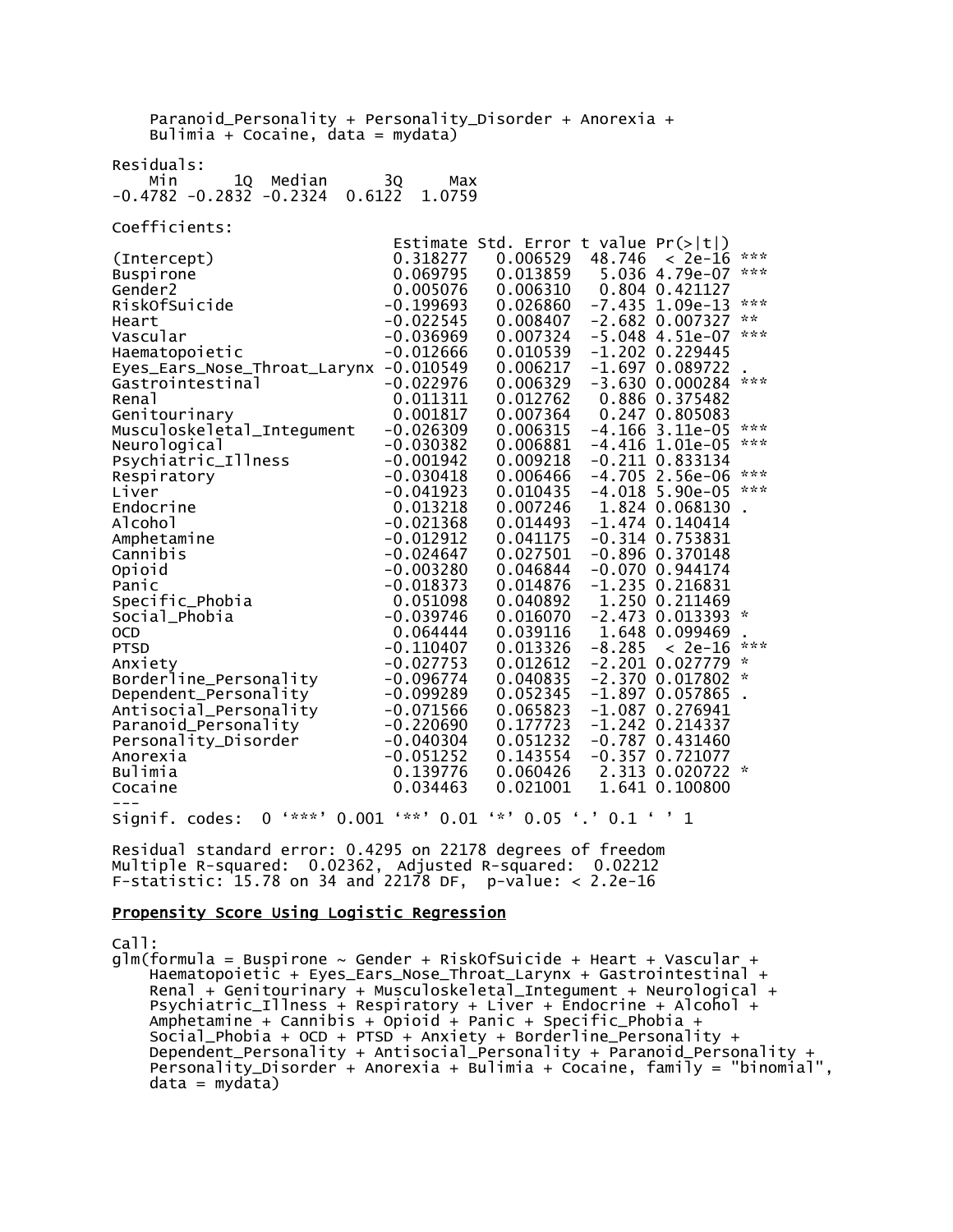| Paranoid_Personality + Personality_Disorder + Anorexia +<br>Bulimia + Cocaine, data = mydata)                                                                                                                                                                                                                                                                                                                                                                                                                                                              |                                                                                                                                                                                                                                                                                                                                                                                                                                        |                                                                                                                                                                                                                                                                                                                                                                                  |                                                                                                                                                                                                                                                                                                                                                                                                                                                                                                                                                                                                                                                                                                       |                                                                                                                                       |
|------------------------------------------------------------------------------------------------------------------------------------------------------------------------------------------------------------------------------------------------------------------------------------------------------------------------------------------------------------------------------------------------------------------------------------------------------------------------------------------------------------------------------------------------------------|----------------------------------------------------------------------------------------------------------------------------------------------------------------------------------------------------------------------------------------------------------------------------------------------------------------------------------------------------------------------------------------------------------------------------------------|----------------------------------------------------------------------------------------------------------------------------------------------------------------------------------------------------------------------------------------------------------------------------------------------------------------------------------------------------------------------------------|-------------------------------------------------------------------------------------------------------------------------------------------------------------------------------------------------------------------------------------------------------------------------------------------------------------------------------------------------------------------------------------------------------------------------------------------------------------------------------------------------------------------------------------------------------------------------------------------------------------------------------------------------------------------------------------------------------|---------------------------------------------------------------------------------------------------------------------------------------|
| Residuals:<br>1Q<br>Median<br>Min<br>$-0.4782 - 0.2832 - 0.2324$<br>0.6122                                                                                                                                                                                                                                                                                                                                                                                                                                                                                 | 3Q<br>Max<br>1.0759                                                                                                                                                                                                                                                                                                                                                                                                                    |                                                                                                                                                                                                                                                                                                                                                                                  |                                                                                                                                                                                                                                                                                                                                                                                                                                                                                                                                                                                                                                                                                                       |                                                                                                                                       |
| Coefficients:                                                                                                                                                                                                                                                                                                                                                                                                                                                                                                                                              |                                                                                                                                                                                                                                                                                                                                                                                                                                        |                                                                                                                                                                                                                                                                                                                                                                                  |                                                                                                                                                                                                                                                                                                                                                                                                                                                                                                                                                                                                                                                                                                       |                                                                                                                                       |
| (Intercept)<br><b>Buspirone</b><br>Gender2<br>RiskOfSuicide<br>Heart<br>Vascular<br>Haematopoietic<br>Eyes_Ears_Nose_Throat_Larynx -0.010549<br>Gastrointestinal<br>Rena <sup>1</sup><br>Genitourinary<br>Musculoskeletal_Integument<br>Neurological<br>Psychiatric_Illness<br>Respiratory<br>Liver<br>Endocrine<br>Alcohol<br>Amphetamine<br>Cannibis<br>Opioid<br>Panic<br>Specific_Phobia<br>Social_Phobia<br><b>OCD</b><br><b>PTSD</b><br>Anxiety<br>Borderline_Personality<br>Dependent_Personality<br>Antisocial_Personality<br>Paranoid_Personality | 0.318277<br>0.069795<br>0.005076<br>$-0.199693$<br>$-0.022545$<br>$-0.036969$<br>$-0.012666$<br>$-0.022976$<br>0.011311<br>0.001817<br>$-0.026309$<br>$-0.030382$<br>$-0.001942$<br>$-0.030418$<br>$-0.041923$<br>0.013218<br>$-0.021368$<br>$-0.012912$<br>$-0.024647$<br>$-0.003280$<br>$-0.018373$<br>0.051098<br>$-0.039746$<br>0.064444<br>$-0.110407$<br>$-0.027753$<br>$-0.096774$<br>$-0.099289$<br>$-0.071566$<br>$-0.220690$ | 0.006529<br>0.013859<br>0.006310<br>0.026860<br>0.008407<br>0.007324<br>0.010539<br>0.006217<br>0.006329<br>0.012762<br>0.007364<br>0.006315<br>0.006881<br>0.009218<br>0.006466<br>0.010435<br>0.007246<br>0.014493<br>0.041175<br>0.027501<br>0.046844<br>0.014876<br>0.040892<br>0.016070<br>0.039116<br>0.013326<br>0.012612<br>0.040835<br>0.052345<br>0.065823<br>0.177723 | Estimate Std. Error t value $Pr(> t )$<br>$48.746 < 2e-16$<br>5.036 4.79e-07<br>0.804 0.421127<br>$-7.435$ 1.09e-13<br>$-2.682$ 0.007327<br>$-5.048$ 4.51e-07<br>$-1.202$ 0.229445<br>$-1.697$ 0.089722<br>$-3.630$ $0.000284$<br>0.886 0.375482<br>0.247 0.805083<br>$-4.166$ 3.11e-05<br>$-4.416$ 1.01e-05<br>$-0.211$ $0.833134$<br>$-4.705$ 2.56e-06<br>$-4.018$ 5.90e-05<br>1.824 0.068130<br>$-1.474$ 0.140414<br>$-0.314$ 0.753831<br>$-0.896$ $0.370148$<br>$-0.070$ 0.944174<br>$-1.235$ 0.216831<br>1.250 0.211469<br>$-2.473$ 0.013393<br>1.648 0.099469<br>$-8.285$<br>$< 2e-16$<br>$-2.201$ 0.027779<br>$-2.370$ 0.017802<br>$-1.897$ 0.057865<br>$-1.087$ 0.276941<br>$-1.242$ 0.214337 | ***<br>***<br>***<br>$\mathbf{x} \times$<br>***<br>***<br>***<br>***<br>***<br>***<br>$\sim$<br>***<br>$\mathcal{R}$<br>$\mathcal{R}$ |
| Personality_Disorder<br>Anorexia<br>Bulimia<br>Cocaine                                                                                                                                                                                                                                                                                                                                                                                                                                                                                                     | $-0.040304$<br>$-0.051252$<br>0.139776<br>0.034463                                                                                                                                                                                                                                                                                                                                                                                     | 0.051232<br>0.143554<br>0.060426<br>0.021001                                                                                                                                                                                                                                                                                                                                     | $-0.787$ 0.431460<br>$-0.357$ 0.721077<br>2.313 0.020722<br>1.641 0.100800                                                                                                                                                                                                                                                                                                                                                                                                                                                                                                                                                                                                                            | $\sim$                                                                                                                                |
| $0$ '***'<br>Signif. codes:                                                                                                                                                                                                                                                                                                                                                                                                                                                                                                                                |                                                                                                                                                                                                                                                                                                                                                                                                                                        |                                                                                                                                                                                                                                                                                                                                                                                  | $0.001$ '**' $0.01$ '*' $0.05$ '.' $0.1$ ' ' 1                                                                                                                                                                                                                                                                                                                                                                                                                                                                                                                                                                                                                                                        |                                                                                                                                       |

Residual standard error: 0.4295 on 22178 degrees of freedom Multiple R-squared: 0.02362, Adjusted R-squared: 0.02212 F-statistic: 15.78 on 34 and 22178 DF, p-value: < 2.2e-16

#### Propensity Score Using Logistic Regression

Call:

 $glm(formula = Buspirone ~ Gender + RiskOfSuicide + Heart + Vascular +$  Haematopoietic + Eyes\_Ears\_Nose\_Throat\_Larynx + Gastrointestinal + Renal + Genitourinary + Musculoskeletal\_Integument + Neurological + Psychiatric\_Illness + Respiratory + Liver + Endocrine + Alcohol + Amphetamine + Cannibis + Opioid + Panic + Specific\_Phobia + Social\_Phobia + OCD + PTSD + Anxiety + Borderline\_Personality + Dependent\_Personality + Antisocial\_Personality + Paranoid\_Personality + Personality\_Disorder + Anorexia + Bulimia + Cocaine, family = "binomial",  $data = mydata)$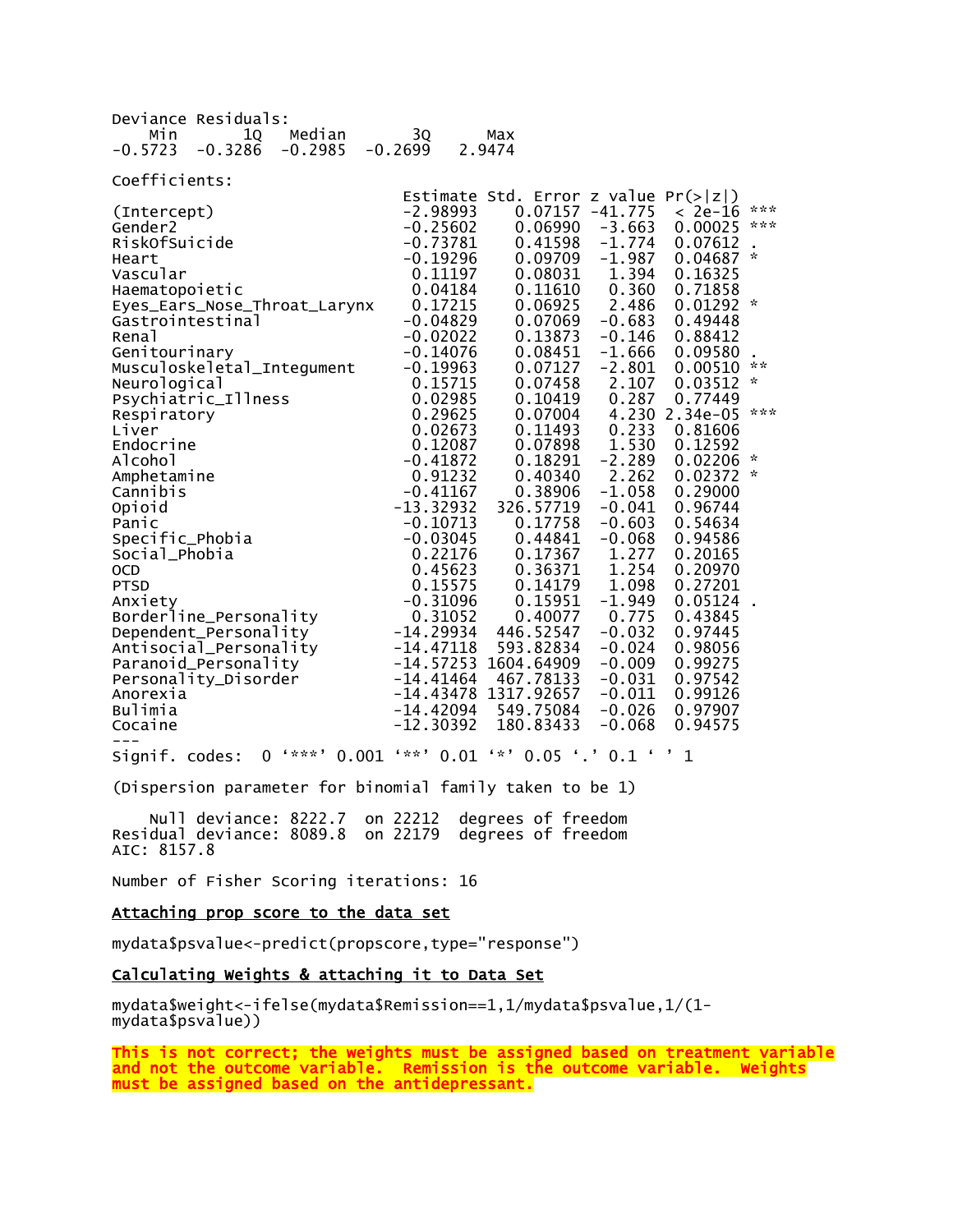| Deviance Residuals:                 |             |                                        |                   |                |               |  |  |  |  |
|-------------------------------------|-------------|----------------------------------------|-------------------|----------------|---------------|--|--|--|--|
| Median<br>Min<br>10                 | 30          | Max                                    |                   |                |               |  |  |  |  |
| $-0.3286$<br>$-0.5723$<br>$-0.2985$ | $-0.2699$   | 2.9474                                 |                   |                |               |  |  |  |  |
|                                     |             |                                        |                   |                |               |  |  |  |  |
| Coefficients:                       |             |                                        |                   |                |               |  |  |  |  |
|                                     |             | Estimate Std. Error z value $Pr(> z )$ |                   |                |               |  |  |  |  |
| (Intercept)                         | $-2.98993$  |                                        | $0.07157 -41.775$ | $< 2e-16$      | ***           |  |  |  |  |
| Gender <sub>2</sub>                 | $-0.25602$  | 0.06990                                | $-3.663$          | 0.00025        | ***           |  |  |  |  |
| RiskOfSuicide                       | $-0.73781$  | 0.41598                                | $-1.774$          | 0.07612        |               |  |  |  |  |
| Heart                               | $-0.19296$  | 0.09709                                | $-1.987$          | 0.04687        | $\mathcal{R}$ |  |  |  |  |
| Vascular                            | 0.11197     | 0.08031                                | 1.394             | 0.16325        |               |  |  |  |  |
| Haematopoietic                      | 0.04184     | 0.11610                                | 0.360             | 0.71858        |               |  |  |  |  |
| Eyes_Ears_Nose_Throat_Larynx        | 0.17215     | 0.06925                                | 2.486             | $0.01292$ *    |               |  |  |  |  |
| Gastrointestinal                    | $-0.04829$  | 0.07069                                | $-0.683$          | 0.49448        |               |  |  |  |  |
| Renal                               | $-0.02022$  | 0.13873                                | $-0.146$          | 0.88412        |               |  |  |  |  |
| Genitourinary                       | $-0.14076$  | 0.08451                                | $-1.666$          | 0.09580        |               |  |  |  |  |
| Musculoskeletal_Integument          | $-0.19963$  | 0.07127                                | $-2.801$          | 0.00510        | $\star \star$ |  |  |  |  |
| Neurological                        | 0.15715     | 0.07458                                | 2.107             | 0.03512        | $\mathcal{R}$ |  |  |  |  |
| Psychiatric_Illness                 | 0.02985     | 0.10419                                | 0.287             | 0.77449        |               |  |  |  |  |
| Respiratory                         | 0.29625     | 0.07004                                |                   | 4.230 2.34e-05 | ***           |  |  |  |  |
| Liver                               | 0.02673     | 0.11493                                | 0.233             | 0.81606        |               |  |  |  |  |
| Endocrine                           | 0.12087     | 0.07898                                | 1.530             | 0.12592        |               |  |  |  |  |
| Alcohol                             | $-0.41872$  | 0.18291                                | $-2.289$          | 0.02206        | $\sim$        |  |  |  |  |
| Amphetamine                         | 0.91232     | 0.40340                                | 2.262             | $0.02372$ *    |               |  |  |  |  |
| Cannibis                            | $-0.41167$  | 0.38906                                | $-1.058$          | 0.29000        |               |  |  |  |  |
| Opioid                              | $-13.32932$ | 326.57719                              | $-0.041$          | 0.96744        |               |  |  |  |  |
| Panic                               | $-0.10713$  | 0.17758                                | $-0.603$          | 0.54634        |               |  |  |  |  |
| Specific_Phobia                     | $-0.03045$  | 0.44841                                | $-0.068$          | 0.94586        |               |  |  |  |  |
| Social_Phobia                       | 0.22176     | 0.17367                                | 1.277             | 0.20165        |               |  |  |  |  |
| <b>OCD</b>                          | 0.45623     | 0.36371                                | 1.254             | 0.20970        |               |  |  |  |  |
| <b>PTSD</b>                         | 0.15575     | 0.14179                                | 1.098             | 0.27201        |               |  |  |  |  |
| Anxiety                             | $-0.31096$  | 0.15951                                | $-1.949$          | 0.05124        |               |  |  |  |  |
| Borderline_Personality              | 0.31052     | 0.40077                                | 0.775             | 0.43845        |               |  |  |  |  |
| Dependent_Personality               | $-14.29934$ | 446.52547                              | $-0.032$          | 0.97445        |               |  |  |  |  |
| Antisocial_Personality              | $-14.47118$ | 593.82834                              | $-0.024$          | 0.98056        |               |  |  |  |  |
| Paranoid_Personality                |             | $-14.57253$ 1604.64909                 | $-0.009$          | 0.99275        |               |  |  |  |  |
| Personality_Disorder                | -14.41464   | 467.78133                              | $-0.031$          | 0.97542        |               |  |  |  |  |
| Anorexia                            |             | $-14.43478$ 1317.92657                 | $-0.011$          | 0.99126        |               |  |  |  |  |
| Bulimia                             | -14.42094   | 549.75084                              | -0.026            | 0.97907        |               |  |  |  |  |
| Cocaine                             | $-12.30392$ | 180.83433                              | $-0.068$          | 0.94575        |               |  |  |  |  |
|                                     |             |                                        |                   |                |               |  |  |  |  |

Signif. codes: 0 '\*\*\*' 0.001 '\*\*' 0.01 '\*' 0.05 '.' 0.1 ' ' 1

(Dispersion parameter for binomial family taken to be 1)

 Null deviance: 8222.7 on 22212 degrees of freedom Residual deviance: 8089.8 on 22179 degrees of freedom AIC: 8157.8

Number of Fisher Scoring iterations: 16

# Attaching prop score to the data set

mydata\$psvalue<-predict(propscore,type="response")

### Calculating Weights & attaching it to Data Set

mydata\$weight<-ifelse(mydata\$Remission==1,1/mydata\$psvalue,1/(1 mydata\$psvalue))

This is not correct; the weights must be assigned based on treatment variable and not the outcome variable. Remission is the outcome variable. Weights must be assigned based on the antidepressant.